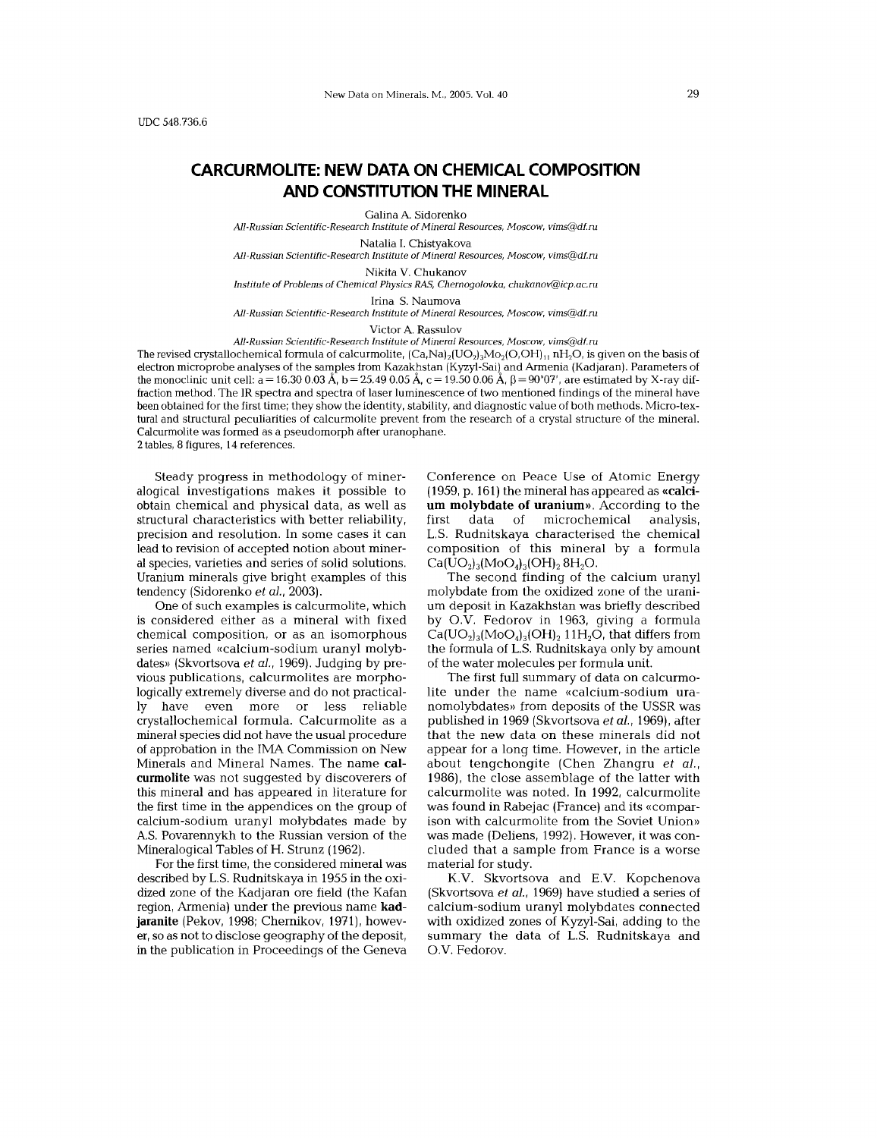# **CARCURMOLlTE: NEW DATA ON CHEMICAL COMPOSITION AND CONSTITUTION THE MINERAL**

Galina A. Sidorenko

*All-Russian Scientific-Research fnstitute of Mineral Resources, Moscow, vims@df.ru*

Natalia I. Chistyakova

*All-Russian Scientific-Research Institute of Mineral Resources, Moscow, vims@df.ru*

Nikita V. Chukanov

*Institute of Problems of Chemical Physics RAS, Chernogolovka, chukanoV@icp.ac.ru*

Irina S. Naumova

*All-Russian Scientific-Research Institute of Mineral Resources, Moscow, vims@df.ru*

Victor A. Rassulov

*All-Russian Scientific-Research Institute of Mineral Resources, Moscow, vimS@df.ru*

The revised crystallochemical formula of calcurmolite,  $(Ca,Na)_2(UO_2)_3MO_2(O,OH)_1$ <sub>11</sub> nH<sub>2</sub>O, is given on the basis of electron microprobe analyses of the samples from Kazakhstan (Kyzyl-Sai) and Armenia (Kadjaran). Parameters of the monoclinic unit cell:  $a = 16.30\ 0.03$  A, b  $= 25.49\ 0.05$  A, c  $= 19.50\ 0.06$  A,  $\beta = 90^{\circ}07'$ , are estimated by X-ray dif fraction method. The IR spectra and spectra of laser luminescence of two mentioned findings of the mineral have been obtained for the first time; they show the identity, stability, and diagnostic value of both methods. Micro-textural and structural peculiarities of calcurmolite prevent from the research of a crystal structure of the mineral. Calcurmolite was formed as a pseudomorph after uranophane.

2 tables, 8 figures, 14 references.

Steady progress in methodology of mineralogical investigations makes it possible to obtain chemical and physical data, as well as structural characteristics with better reliability, precision and resolution. In some cases it can lead to revision of accepted notion about mineral species, varieties and series of solid solutions. Uranium minerals give bright examples of this tendency (Sidorenko *et aI., 2003).*

One of such examples is calcurmolite, which is considered either as a mineral with fixed chemical composition, or as an isomorphous series named «calcium-sodium uranyl molybdates» (Skvortsova *et aI.,* 1969). Judging by previous publications, calcurmolites are morphologically extremely diverse and do not practically have even more or less reliable crystallochemical formula. Calcurmolite as a mineral species did not have the usual procedure of approbation in the IMA Commission on New Minerals and Mineral Names. The name calcurmolite was not suggested by discoverers of this mineral and has appeared in literature for the first time in the appendices on the group of calcium-sodium uranyl molybdates made by A.S. Povarennykh to the Russian version of the Mineralogical Tables of H. Strunz (1962).

For the first time, the considered mineral was described by L.S. Rudnitskaya in 1955 in the oxidized zone of the Kadjaran ore field (the Kafan region, Armenia) under the previous name kadjaranite (Pekov, 1998; Chernikov, 1971), however, so as not to disclose geography of the deposit, in the publication in Proceedings of the Geneva

Conference on Peace Use of Atomic Energy (1959, p. 161) the mineral has appeared as «calcium molybdate of uranium». According to the first data of microchemical analysis, L.S. Rudnitskaya characterised the chemical composition of this mineral by a formula  $Ca(UO<sub>2</sub>)<sub>3</sub>(MO<sub>4</sub>)<sub>3</sub>(OH)<sub>2</sub> 8H<sub>2</sub>O.$ 

The second finding of the calcium uranyl molybdate from the oxidized zone of the uranium deposit in Kazakhstan was briefly described by O.V. Fedorov in 1963, giving a formula  $Ca(UO<sub>2</sub>)<sub>3</sub>(MoO<sub>4</sub>)<sub>3</sub>(OH)<sub>2</sub>11H<sub>2</sub>O$ , that differs from the formula of L.S. Rudnitskaya only by amount of the water molecules per formula unit.

The first full summary of data on calcurmolite under the name «calcium-sodium uranomolybdates» from deposits of the USSR was published in 1969 (Skvortsova *et aI.,* 1969), after that the new data on these minerals did not appear for a long time. However, in the article about tengchongite (Chen Zhangru *et aI.,* 1986), the close assemblage of the latter with calcurmolite was noted. In 1992, calcurmolite was found in Rabejac (France) and its «comparison with calcurmolite from the Soviet Union» was made (Deliens, 1992). However, it was concluded that a sample from France is a worse material for study.

K.V. Skvortsova and E.V. Kopchenova (Skvortsova *et aI.,* 1969) have studied a series of calcium-sodium uranyl molybdates connected with oxidized zones of Kyzyl-Sai, adding to the summary the data of L.S. Rudnitskaya and O.V. Fedorov.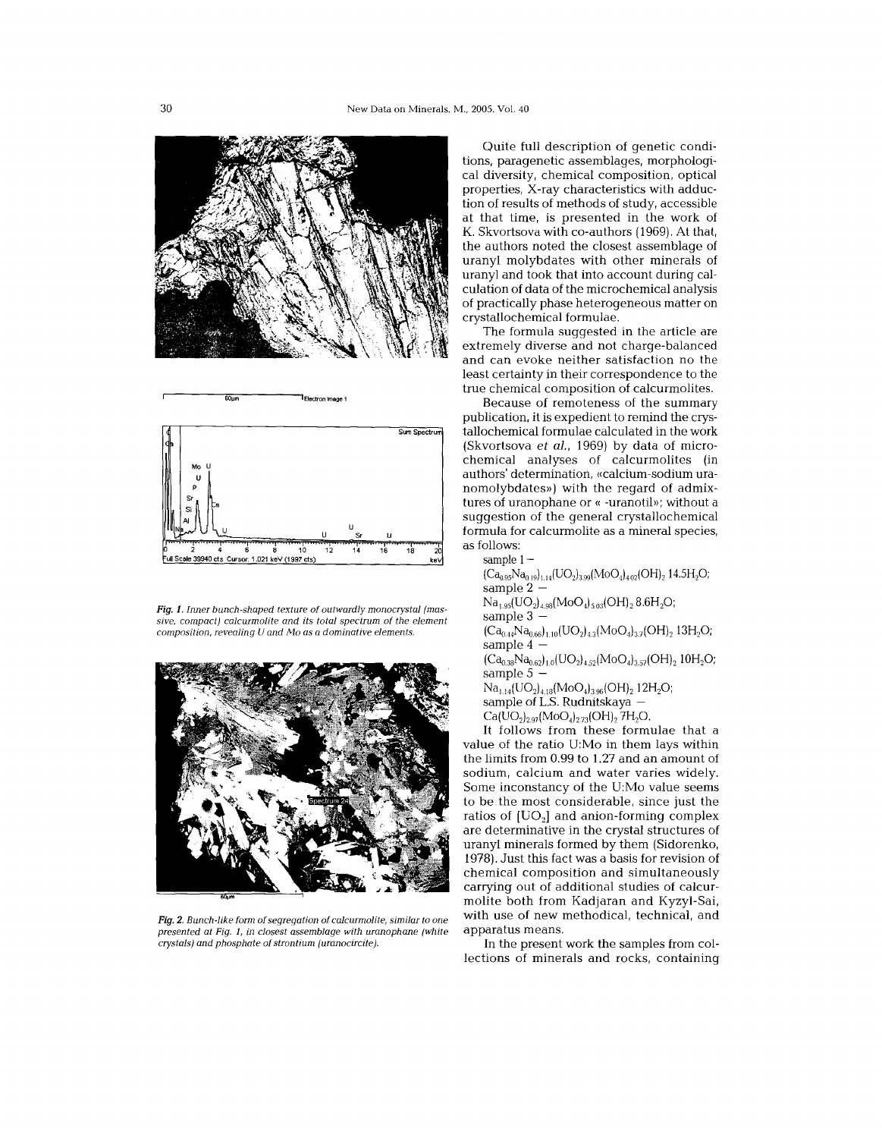



**60l1m <sup>I</sup> Electron Image <sup>1</sup>**

Fig. 1. Inner bunch-shaped texture of outwardly monocrystal (massive, compact) calcurmolite and its total spectrum of the element composition, revealing U and Mo as a dominative elements.



Fig, 2. Bunch-like form of segregation of calcurmolite, similar to one presented at Fig. 1, in closest assemblage with uranophane (white crystals) and phosphate of strontium (uranocircite).

Quite full description of genetic conditions, paragenetic assemblages, morphological diversity, chemical composition, optical properties, X-ray characteristics with adduction of results of methods of study, accessible at that time, is presented in the work of K. Skvortsova with co-authors (1969), At that, the authors noted the closest assemblage of uranyl molybdates with other minerals of uranyl and took that into account during calculation of data of the microchemical analysis of practically phase heterogeneous matter on crystallochemical formulae,

The formula suggested in the article are extremely diverse and not charge-balanced and can evoke neither satisfaction no the least certainty in their correspondence to the true chemical composition of calcurmolites.

Because of remoteness of the summary publication, it is expedient to remind the crystallochemical formulae calculated in the work (Skvortsova et al., 1969) by data of microchemical analyses of calcurmolites (in authors' determination, «calcium-sodium uranomolybdates») with the regard of admixtures of uranophane or « -uranotil»; without a suggestion of the general crystallochemical formula for calcurmolite as a mineral species, as follows:

sample 1

 $(Ca_{0.95}Na_{0.19})_{1.14}(UO_2)_{3.99}(MoO_4)_{4.02}(OH)_2$  14.5H<sub>2</sub>O; sample 2 -

 $Na<sub>1.95</sub>(UO<sub>2</sub>)<sub>4.98</sub>(MoO<sub>4</sub>)<sub>5.03</sub>(OH)<sub>2</sub>8.6H<sub>2</sub>O;$ sample  $3$ 

 $(Ca_{0.44}Na_{0.66})_{1.10}(UO_2)_{4.3}(MOO_4)_{3.7}(OH)_2$  13H<sub>2</sub>O; sample 4 -

 $(Ca_{0.38}Na_{0.62})_{1.0}(UO_2)_{4.52}(MoO_4)_{3.57}(OH)_2$  10H<sub>2</sub>O; sample 5

 $Na<sub>1.14</sub>(UO<sub>2</sub>)<sub>4.18</sub>(MoO<sub>4</sub>)<sub>3.96</sub>(OH)<sub>2</sub> 12H<sub>2</sub>O;$ 

sample of L.S. Rudnitskaya -

 $Ca(\hat{U}O_{2})_{2.97} (MO_{4})_{2.73} (OH)_{2}$  7H<sub>2</sub>O.

It follows from these formulae that a value of the ratio U:Mo in them lays within the limits from 0,99 to 1.27 and an amount of sodium, calcium and water varies widely. Some inconstancy of the U:Mo value seems to be the most considerable, since just the ratios of  $[UO<sub>2</sub>]$  and anion-forming complex are determinative in the crystal structures of uranyl minerals formed by them (Sidorenko, 1978).Just this fact was a basis for revision of chemical composition and simultaneously carrying out of additional studies of calcurmolite both from Kadjaran and Kyzyl-Sai, with use of new methodical, technical, and apparatus means,

In the present work the samples from collections of minerals and rocks, containing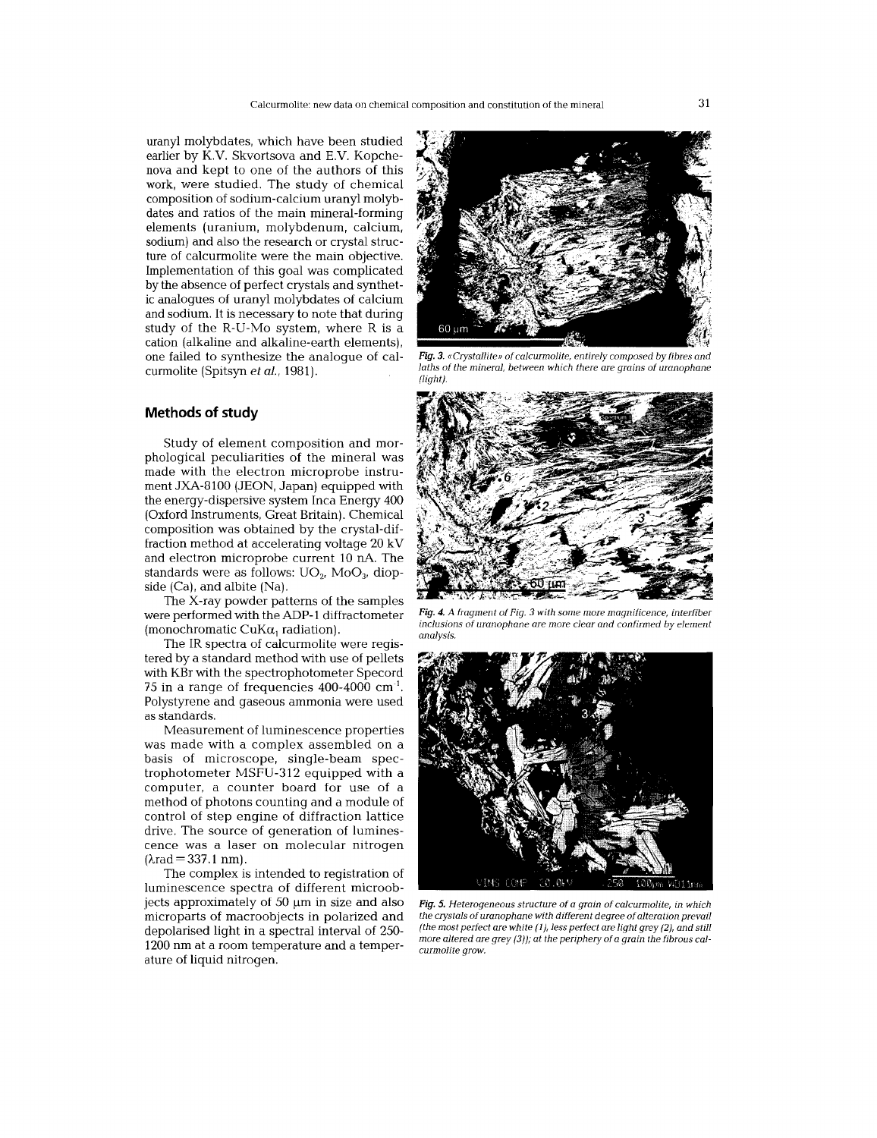uranyl molybdates, which have been studied earlier by K.V. Skvortsova and E.V. Kopchenova and kept to one of the authors of this work, were studied. The study of chemical composition of sodium-calcium uranyl molybdates and ratios of the main mineral-forming elements (uranium, molybdenum, calcium, sodium) and also the research or crystal structure of calcurmolite were the main objective. Implementation of this goal was complicated by the absence of perfect crystals and synthetic analogues of uranyl molybdates of calcium and sodium. It is necessary to note that during study of the R-U-Mo system, where R is a cation (alkaline and alkaline-earth elements), one failed to synthesize the analogue of calcurmolite (Spitsyn *et aI., 1981).*

## **Methods of study**

Study of element composition and morphological peculiarities of the mineral was made with the electron microprobe instrument JXA-8100 (JEON, Japan) equipped with the energy-dispersive system Inca Energy 400 (Oxford Instruments, Great Britain). Chemical composition was obtained by the crystal-diffraction method at accelerating voltage 20 kV and electron microprobe current 10 nA. The standards were as follows:  $UO<sub>2</sub>$ , Mo $O<sub>3</sub>$ , diopside (Ca), and albite (Na).

The X-ray powder patterns of the samples were performed with the ADP-l diffractometer (monochromatic CuK $\alpha_1$  radiation).

The IR spectra of calcurmolite were registered by a standard method with use of pellets with KBr with the spectrophotometer Specord 75 in a range of frequencies  $400-4000$  cm<sup>-1</sup>. Polystyrene and gaseous ammonia were used as standards.

Measurement of luminescence properties was made with a complex assembled on a basis of microscope, single-beam spectrophotometer MSFU-312 equipped with a computer, a counter board for use of a method of photons counting and a module of control of step engine of diffraction lattice drive. The source of generation of luminescence was a laser on molecular nitrogen  $(\lambda rad = 337.1 nm).$ 

The complex is intended to registration of luminescence spectra of different microobjects approximately of  $50 \mu m$  in size and also microparts of macroobjects in polarized and depolarised light in a spectral interval of 250- 1200 nm at a room temperature and a temperature of liquid nitrogen.

60 um

*Fig.* 3. *«Crystallite))* of *caJcurmolite, entirely composed by fibres and laths* of *the mineral, between which there are grains* of *uranophane (light).*



*Fig.* 4. *A fragment* of *Fig.* 3 *with some more magnificence, interfiber inclusions* of *uranophane are more clear and confirmed by element analysis.*



*Fig.* 5. *Heterogeneous structure* of a *grain* of *calcurmolite, in which the crystals ofuranophane with different degree* of *alteration prevail (the most perfect are white* (1), *less perfect are light grey* (2), *and still more altered are grey* (3)); *at the periphery* of a *grain the fibrous calcurmolite grow.*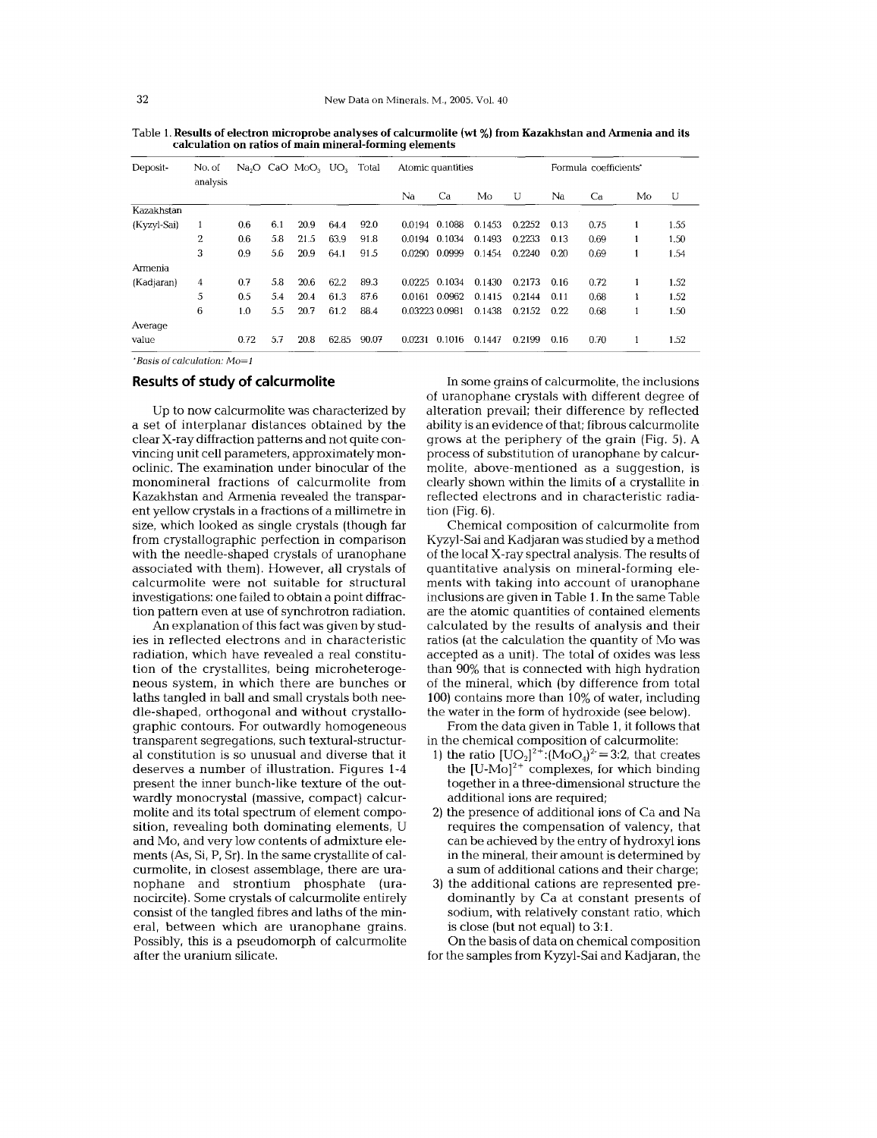| Deposit-    | No. of<br>analysis | Na <sub>2</sub> O |     | CaO MoO <sub>3</sub> | UO <sub>2</sub> | Total | Atomic quantities |        |        | Formula coefficients' |      |      |    |      |
|-------------|--------------------|-------------------|-----|----------------------|-----------------|-------|-------------------|--------|--------|-----------------------|------|------|----|------|
|             |                    |                   |     |                      |                 |       | Na                | Ca     | Mo     | U                     | Na   | Ca   | Mo | U    |
| Kazakhstan  |                    |                   |     |                      |                 |       |                   |        |        |                       |      |      |    |      |
| (Kyzyl-Sai) | 1                  | 0.6               | 6.1 | 20.9                 | 64.4            | 92.0  | 0.0194            | 0.1088 | 0.1453 | 0.2252                | 0.13 | 0.75 | 1  | 1.55 |
|             | 2                  | 0.6               | 5.8 | 21.5                 | 63.9            | 91.8  | 0.0194            | 0.1034 | 0.1493 | 0.2233                | 0.13 | 0.69 | 1  | 1.50 |
|             | 3                  | 0.9               | 5.6 | 20.9                 | 64.1            | 91.5  | 0.0290            | 0.0999 | 0.1454 | 0.2240                | 0.20 | 0.69 |    | 1.54 |
| Armenia     |                    |                   |     |                      |                 |       |                   |        |        |                       |      |      |    |      |
| (Kadjaran)  | 4                  | 0.7               | 5.8 | 20.6                 | 62.2            | 89.3  | 0.0225            | 0.1034 | 0.1430 | 0.2173                | 0.16 | 0.72 | 1  | 1.52 |
|             | 5                  | 0.5               | 5.4 | 20.4                 | 61.3            | 87.6  | 0.0161            | 0.0962 | 0.1415 | 0.2144                | 0.11 | 0.68 |    | 1.52 |
|             | 6                  | 1.0               | 5.5 | 20.7                 | 61.2            | 88.4  | 0.03223 0.0981    |        | 0.1438 | 0.2152                | 0.22 | 0.68 |    | 1.50 |
| Average     |                    |                   |     |                      |                 |       |                   |        |        |                       |      |      |    |      |
| value       |                    | 0.72              | 5.7 | 20.8                 | 62.85           | 90.07 | 0.0231            | 0.1016 | 0.1447 | 0.2199                | 0.16 | 0.70 |    | 1.52 |

Table 1.**Results of electron microprobe analyses of calcunnolite (wt %) from Kazakhstan and Armenia and its calculation on ratios of main mineral-fonning elements**

\*Basis of calculation: Mo=1

### **Results of study of calcurmolite**

Up to now calcurmolite was characterized by a set of interplanar distances obtained by the clear X-ray diffraction patterns and not quite convincing unit cell parameters, approximately monoclinic. The examination under binocular of the monomineral fractions of calcurmolite from Kazakhstan and Armenia revealed the transparent yellow crystals in a fractions of a millimetre in size, which looked as single crystals (though far from crystallographic perfection in comparison with the needle-shaped crystals of uranophane associated with them). However, all crystals of calcurmolite were not suitable for structural investigations: one failed to obtain a point diffraction pattern even at use of synchrotron radiation.

An explanation of this fact was given by studies in reflected electrons and in characteristic radiation, which have revealed a real constitution of the crystallites, being microheterogeneous system, in which there are bunches or laths tangled in ball and small crystals both needle-shaped, orthogonal and without crystallographic contours. For outwardly homogeneous transparent segregations, such textural-structural constitution is so unusual and diverse that it deserves a number of illustration. Figures 1-4 present the inner bunch-like texture of the outwardly monocrystal (massive, compact) calcurmolite and its total spectrum of element composition, revealing both dominating elements, U and Mo, and very low contents of admixture elements (As, Si, P, Sr). In the same crystallite of calcurmolite, in closest assemblage, there are uranophane and strontium phosphate (uranocircite). Some crystals of calcurmolite entirely consist of the tangled fibres and laths of the mineraI, between which are uranophane grains. Possibly, this is a pseudomorph of calcurmolite after the uranium silicate.

In some grains of calcurmolite, the inclusions of uranophane crystals with different degree of alteration prevail; their difference by reflected ability is an evidence of that; fibrous calcurmolite grows at the periphery of the grain (Fig. 5). A process of substitution of uranophane by calcurmolite, above-mentioned as a suggestion, is clearly shown within the limits of a crystallite in reflected electrons and in characteristic radiation (Fig. 6).

Chemical composition of calcurmolite from Kyzyl-Sai and Kadjaran was studied by a method of the local X-ray spectral analysis. The results of quantitative analysis on mineral-forming elements with taking into account of uranophane inclusions are given in Table 1.In the same Table are the atomic quantities of contained elements calculated by the results of analysis and their ratios (at the calculation the quantity of Mo was accepted as a unit). The total of oxides was less than 90% that is connected with high hydration of the mineral, which (by difference from total 100) contains more than 10% of water, including the water in the form of hydroxide (see below).

From the data given in Table 1, it follows that in the chemical composition of calcurmolite:

- 1) the ratio  $[UO_2]^2$ <sup>+</sup>:(MoO<sub>4</sub>)<sup>2</sup> = 3:2, that creates the  $[U-Mo]^{2+}$  complexes, for which binding together in a three-dimensional structure the additional ions are required;
- 2) the presence of additional ions of Ca and Na requires the compensation of valency, that can be achieved by the entry of hydroxyl ions in the mineral, their amount is determined by a sum of additional cations and their charge;
- 3) the additional cations are represented predominantly by Ca at constant presents of sodium, with relatively constant ratio, which is close (but not equal) to 3:1.

On the basis of data on chemical composition for the samples from Kyzyl-Sai and Kadjaran, the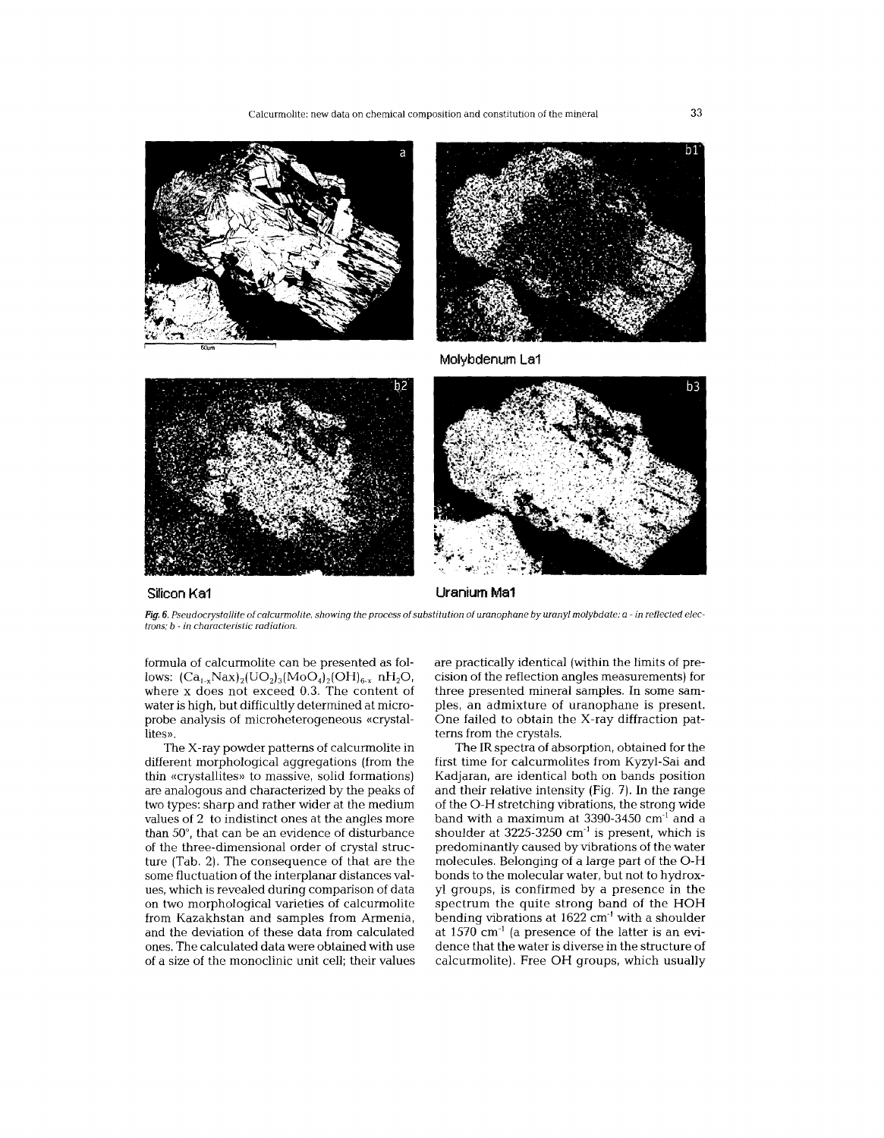

#### **SUicon Ka1**

**Uranium Ma1**

Fig. 6. Pseudocrystallite of calcurmolite, showing the process of substitution of uranophane by uranyl molybdate: a - in reflected elec*trons; b* - *in characteristic radiation.*

formula of calcurmolite can be presented as follows:  $(Ca_{1-x}Nax)_{2}(UO_{2})_{3}(MOQ_{4})_{2}(OH)_{6-x}$  nH<sub>2</sub>O, where x does not exceed 0.3. The content of water is high, but difficultly determined at microprobe analysis of microheterogeneous «crystallites».

The X-ray powder patterns of calcurmolite in different morphological aggregations (from the thin «crystallites» to massive, solid formations) are analogous and characterized by the peaks of two types: sharp and rather wider at the medium values of 2 to indistinct ones at the angles more than 50°, that can be an evidence of disturbance of the three-dimensional order of crystal structure (Tab. 2). The consequence of that are the some fluctuation of the interplanar distances values, which is revealed during comparison of data on two morphological varieties of calcurmolite from Kazakhstan and samples from Armenia, and the deviation of these data from calculated ones. The calculated data were obtained with use of a size of the monoclinic unit cell; their values are practically identical (within the limits of precision of the reflection angles measurements) for three presented mineral samples. In some samples, an admixture of uranophane is present. One failed to obtain the X-ray diffraction patterns from the crystals.

The IR spectra of absorption, obtained for the first time for calcurmolites from Kyzyl-Sai and Kadjaran, are identical both on bands position and their relative intensity (Fig. 7). In the range of the 0- H stretching vibrations, the strong wide band with a maximum at 3390-3450 cm<sup>-1</sup> and a shoulder at  $3225-3250$  cm<sup>-1</sup> is present, which is predominantly caused by vibrations of the water molecules. Belonging of a large part of the O-H bonds to the molecular water, but not to hydroxyl groups, is confirmed by a presence in the spectrum the quite strong band of the HOH bending vibrations at 1622 cm'l with a shoulder at 1570 cm'! (a presence of the latter is an evidence that the water is diverse in the structure of calcurmolite). Free OH groups, which usually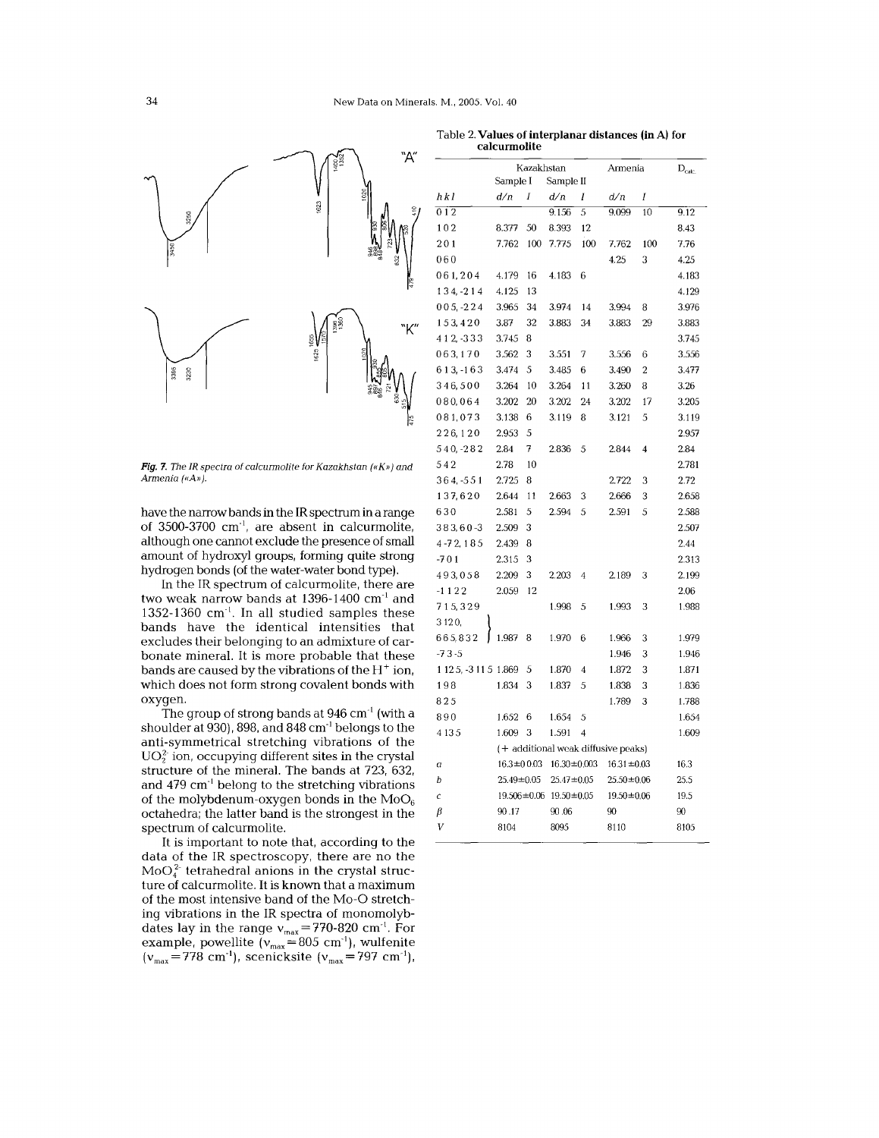

*Fig.* 7. The IR spectra of calcurmolite for Kazakhstan («K») and *Armenia* («A»).

It is important to note that, according to the data of the IR spectroscopy, there are no the  $MoO<sub>4</sub><sup>2</sup> tetrahedral anions in the crystal struc$ ture of calcurmolite. It is known that a maximum of the most intensive band of the Mo-O stretching vibrations in the IR spectra of monomolybdates lay in the range  $v_{\rm max}$ =770-820 cm<sup>-1</sup>. For example, powellite ( $v_{\rm max}$ =805 cm $^{\circ}$ ), wulfeni  $(v_{\text{max}}=778 \text{ cm}^{-1})$ , scenicksite  $(v_{\text{max}}=797 \text{ cm}^{-1})$ ,

|                                                                                               | 1400<br>135                                               |                                                        |                 | Kazakhstan       |                                                       |                  | Armenia                             |                | $D_{calc.}$ |
|-----------------------------------------------------------------------------------------------|-----------------------------------------------------------|--------------------------------------------------------|-----------------|------------------|-------------------------------------------------------|------------------|-------------------------------------|----------------|-------------|
|                                                                                               |                                                           | hkl                                                    | Sample I<br>d/n | $\boldsymbol{I}$ | Sample II<br>d/n                                      |                  |                                     |                |             |
|                                                                                               | 623                                                       | 012                                                    |                 |                  | 9.156                                                 | Ι<br>5           | d/n<br>9.099                        | Ι<br>10        | 9.12        |
| 3250                                                                                          |                                                           | 102                                                    | 8.377           | 50               | 8.393                                                 | 12               |                                     |                | 8.43        |
|                                                                                               |                                                           | 201                                                    |                 |                  | 7.762 100 7.775                                       | 100              |                                     | 100            |             |
|                                                                                               |                                                           |                                                        |                 |                  |                                                       |                  | 7.762                               |                | 7.76        |
|                                                                                               |                                                           | 060                                                    |                 |                  |                                                       |                  | 4.25                                | 3              | 4.25        |
|                                                                                               |                                                           | 061,204                                                | 4.179           | -16              | 4.183                                                 | 6                |                                     |                | 4.183       |
|                                                                                               |                                                           | 134, -214                                              | 4.125           | -13              |                                                       |                  |                                     |                | 4.129       |
|                                                                                               |                                                           | $005, -224$                                            | 3.965           | -34              | 3.974                                                 | 14               | 3.994                               | 8              | 3.976       |
|                                                                                               |                                                           | 153,420                                                | 3.87            | 32               | 3.883                                                 | 34               | 3.883                               | 29             | 3.883       |
|                                                                                               |                                                           | 412, -333                                              | 3.745 8         |                  |                                                       |                  |                                     |                | 3.745       |
|                                                                                               |                                                           | 063,170                                                | 3.562           | $\mathbf{3}$     | 3.551                                                 | 7                | 3.556                               | 6              | 3.556       |
| 3395<br>3230                                                                                  |                                                           | 613, -163                                              | 3.474 5         |                  | 3.485                                                 | 6                | 3.490                               | $\overline{2}$ | 3.477       |
|                                                                                               |                                                           | 346,500                                                | 3.264           | - 10             | 3.264                                                 | 11               | 3.260                               | 8              | 3.26        |
|                                                                                               |                                                           | 080,064                                                | 3.202 20        |                  | 3.202                                                 | 24               | 3.202                               | 17             | 3.205       |
|                                                                                               |                                                           | 081,073                                                | 3.138           | - 6              | 3.119                                                 | 8                | 3.121                               | 5              | 3.119       |
|                                                                                               |                                                           | 226,120                                                | 2.953           | -5               |                                                       |                  |                                     |                | 2.957       |
|                                                                                               |                                                           | 540, -282                                              | 2.84            | 7                | 2.836                                                 | -5               | 2.844                               | $\overline{4}$ | 2.84        |
| Fig. 7. The IR spectra of calcurmolite for Kazakhstan («K») and                               | 542                                                       | 2.78                                                   | 10              |                  |                                                       |                  |                                     | 2.781          |             |
| Armenia («A»).                                                                                |                                                           | 364, -551                                              | 2.725           | 8                |                                                       |                  | 2.722                               | 3              | 2.72        |
|                                                                                               |                                                           | 137,620                                                | 2.644           | $-11$            | 2.663                                                 | 3                | 2.666                               | 3              | 2.658       |
|                                                                                               | have the narrow bands in the IR spectrum in a range       |                                                        |                 |                  | 2.594                                                 | 5                | 2.591                               | 5              | 2.588       |
| of 3500-3700 cm <sup>-1</sup> , are absent in calcurmolite,                                   |                                                           | 383,60-3                                               | 2.509           | 3                |                                                       |                  |                                     |                | 2.507       |
| although one cannot exclude the presence of small                                             |                                                           | 4-72, 185                                              | 2.439           | 8                |                                                       |                  |                                     |                | 2.44        |
| amount of hydroxyl groups, forming quite strong                                               |                                                           | $-701$                                                 | 2.315 3         |                  |                                                       |                  |                                     |                | 2.313       |
| hydrogen bonds (of the water-water bond type).                                                |                                                           | 493058                                                 | 2.209           | 3                | 2.203                                                 | -4               | 2.189                               | 3              | 2.199       |
|                                                                                               | In the IR spectrum of calcurmolite, there are             | $-1122$                                                | 2.059 12        |                  |                                                       |                  |                                     |                | 2.06        |
| two weak narrow bands at 1396-1400 cm <sup>-1</sup> and                                       | 715,329                                                   |                                                        |                 | 1.998            | -5                                                    | 1.993            | 3                                   | 1.988          |             |
| 1352-1360 $cm-1$ . In all studied samples these                                               |                                                           | 3120,                                                  |                 |                  |                                                       |                  |                                     |                |             |
| bands have the identical intensities that<br>excludes their belonging to an admixture of car- |                                                           | 665,832                                                | 1.987 8         |                  | 1.970 6                                               |                  | 1.966                               | 3              | 1.979       |
| bonate mineral. It is more probable that these                                                |                                                           | $-73-5$                                                |                 |                  |                                                       |                  | 1.946                               | 3              | 1.946       |
| bands are caused by the vibrations of the $\rm H^+$ ion,                                      |                                                           | 1 12 5, -3 11 5 1.869                                  |                 | - 5              | 1.870                                                 | $\overline{4}$   | 1.872                               | 3              | 1.871       |
| which does not form strong covalent bonds with                                                |                                                           | 198                                                    | 1.834 3         |                  | 1.837                                                 | 5                | 1.838                               | 3              | 1.836       |
| oxyqen.                                                                                       |                                                           | 825                                                    |                 |                  |                                                       |                  | 1.789                               | 3              | 1.788       |
|                                                                                               | The group of strong bands at 946 cm <sup>-1</sup> (with a | 890                                                    | 1.652           | - 6              | 1.654                                                 | -5               |                                     |                | 1.654       |
| shoulder at 930), 898, and 848 cm <sup>-1</sup> belongs to the                                |                                                           | 4135                                                   | 1.609 3         |                  | 1.591                                                 | $\overline{4}$   |                                     |                | 1.609       |
| anti-symmetrical stretching vibrations of the                                                 |                                                           |                                                        |                 |                  |                                                       |                  | (+ additional weak diffusive peaks) |                |             |
| $UO22$ ion, occupying different sites in the crystal                                          |                                                           |                                                        |                 |                  |                                                       | $16.31 \pm 0.03$ |                                     | 16.3           |             |
| structure of the mineral. The bands at 723, 632,                                              | a<br>b                                                    | $25.49 \pm 0.05$<br>$19.506 \pm 0.06$ 19.50 $\pm$ 0.05 |                 |                  | $16.3 \pm 0.03$ $16.30 \pm 0.003$<br>$25.47 \pm 0.05$ |                  | $25.50 \pm 0.06$                    | 25.5           |             |
| and $479 \text{ cm}^{-1}$ belong to the stretching vibrations                                 |                                                           |                                                        |                 |                  |                                                       |                  |                                     |                |             |
| of the molybdenum-oxygen bonds in the $MoO6$                                                  | Ċ                                                         |                                                        |                 |                  |                                                       | $19.50 \pm 0.06$ |                                     | 19.5           |             |
| octahedra; the latter band is the strongest in the                                            |                                                           | β                                                      | 90.17           |                  | 90.06                                                 |                  | 90                                  |                | 90          |
| spectrum of calcurmolite.                                                                     |                                                           | V                                                      | 8104            |                  | 8095                                                  |                  | 8110                                |                | 8105        |

Table 2. Values of interplanar distances (in A) for calcurmolite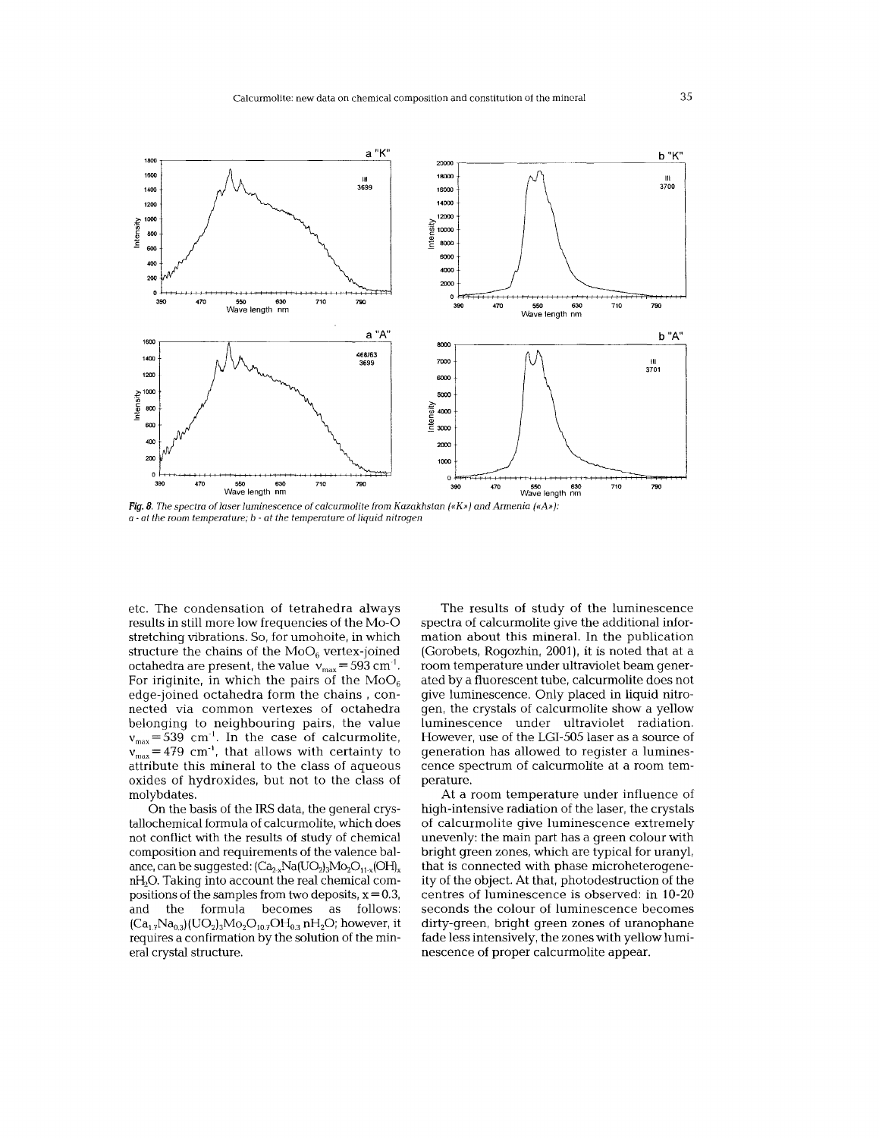

*Fig.* 8. *The spectra of laser luminescence of calcurmolite from Kazakhstan {«K))) and Armenia {«A))):* a . *at the room temperature; b at the temperature of liquid nitrogen*

etc. The condensation of tetrahedra always results in still more low frequencies of the Mo-O stretching vibrations. So, for umohoite, in which structure the chains of the  $MoO<sub>6</sub>$  vertex-joined octahedra are present, the value  $v_{\text{max}} = 593 \text{ cm}^{-1}$ . For iriginite, in which the pairs of the  $MoO<sub>6</sub>$ edge-joined octahedra form the chains, connected via common vertexes of octahedra belonging to neighbouring pairs, the value  $v_{\text{max}} = 539$  cm<sup>-1</sup>. In the case of calcurmolite,  $v_{\text{max}}^{\text{max}}$  = 479 cm<sup>-1</sup>, that allows with certainty to attribute this mineral to the class of aqueous oxides of hydroxides, but not to the class of molybdates.

On the basis of the IRS data, the general crystallochemical formula of calcurmolite, which does not conflict with the results of study of chemical composition and requirements of the valence balance, can be suggested:  $(Ca_{2x}Na(UO_2)_3Mo_2O_{11x}(OH)_x)$ nH<sub>2</sub>O. Taking into account the real chemical compositions of the samples from two deposits,  $x = 0.3$ , and the formula becomes as follows:  $(Ca_{1,7}Na_{0,3})(UO_2)_3Mo_2O_{10,7}OH_{0,3}$  nH<sub>2</sub>O; however, it requires a confirmation by the solution of the mineral crystal structure.

The results of study of the luminescence spectra of calcurmolite give the additional information about this mineral. In the publication (Gorobets, Rogozhin, 2001), it is noted that at a room temperature under ultraviolet beam generated by a fluorescent tube, calcurmolite does not give luminescence. Only placed in liquid nitrogen, the crystals of calcurmolite show a yellow luminescence under ultraviolet radiation. However, use of the LGI-505laser as a source of generation has allowed to register a luminescence spectrum of calcurmolite at a room temperature.

At a room temperature under influence of high-intensive radiation of the laser, the crystals of calcurmolite give luminescence extremely unevenly: the main part has a green colour with bright green zones, which are typical for uranyl, that is connected with phase microheterogeneity of the object. At that, photodestruction of the centres of luminescence is observed: in 10-20 seconds the colour of luminescence becomes dirty-green, bright green zones of uranophane fade less intensively, the zones with yellow luminescence of proper calcurmolite appear.